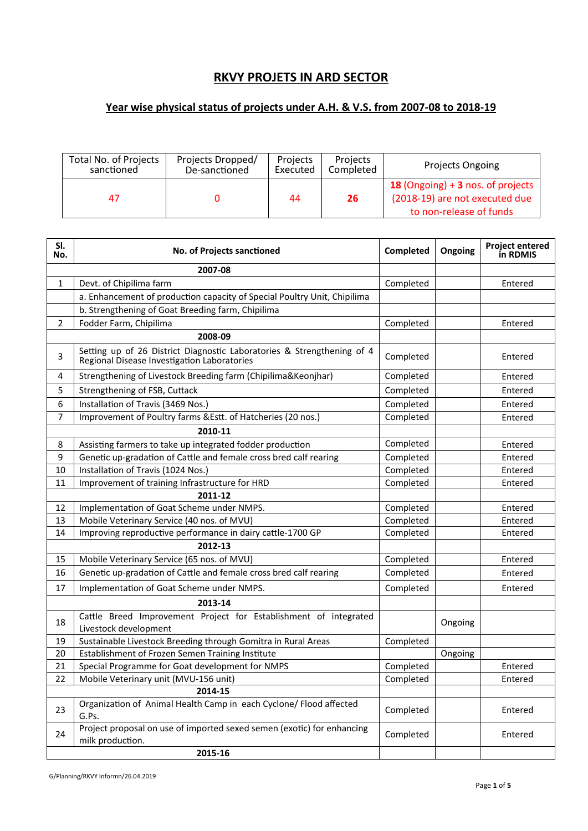## **RKVY PROJETS IN ARD SECTOR**

## **Year wise physical status of projects under A.H. & V.S. from 2007-08 to 2018-19**

| Total No. of Projects | Projects Dropped/ | Projects | Projects  | <b>Projects Ongoing</b>                                                                        |
|-----------------------|-------------------|----------|-----------|------------------------------------------------------------------------------------------------|
| sanctioned            | De-sanctioned     | Executed | Completed |                                                                                                |
| 47                    |                   | 44       | 26        | 18 (Ongoing) + 3 nos. of projects<br>(2018-19) are not executed due<br>to non-release of funds |

| SI.<br>No. | No. of Projects sanctioned                                                                                            | Completed | Ongoing | <b>Project entered</b><br>in RDMIS |
|------------|-----------------------------------------------------------------------------------------------------------------------|-----------|---------|------------------------------------|
|            | 2007-08                                                                                                               |           |         |                                    |
| 1          | Devt. of Chipilima farm                                                                                               | Completed |         | Entered                            |
|            | a. Enhancement of production capacity of Special Poultry Unit, Chipilima                                              |           |         |                                    |
|            | b. Strengthening of Goat Breeding farm, Chipilima                                                                     |           |         |                                    |
| 2          | Fodder Farm, Chipilima                                                                                                | Completed |         | Entered                            |
|            | 2008-09                                                                                                               |           |         |                                    |
| 3          | Setting up of 26 District Diagnostic Laboratories & Strengthening of 4<br>Regional Disease Investigation Laboratories | Completed |         | Entered                            |
| 4          | Strengthening of Livestock Breeding farm (Chipilima&Keonjhar)                                                         | Completed |         | Entered                            |
| 5          | Strengthening of FSB, Cuttack                                                                                         | Completed |         | Entered                            |
| 6          | Installation of Travis (3469 Nos.)                                                                                    | Completed |         | Entered                            |
| 7          | Improvement of Poultry farms &Estt. of Hatcheries (20 nos.)                                                           | Completed |         | Entered                            |
|            | 2010-11                                                                                                               |           |         |                                    |
| 8          | Assisting farmers to take up integrated fodder production                                                             | Completed |         | Entered                            |
| 9          | Genetic up-gradation of Cattle and female cross bred calf rearing                                                     | Completed |         | Entered                            |
| 10         | Installation of Travis (1024 Nos.)                                                                                    | Completed |         | Entered                            |
| 11         | Improvement of training Infrastructure for HRD                                                                        | Completed |         | Entered                            |
|            | 2011-12                                                                                                               |           |         |                                    |
| 12         | Implementation of Goat Scheme under NMPS.                                                                             | Completed |         | Entered                            |
| 13         | Mobile Veterinary Service (40 nos. of MVU)                                                                            | Completed |         | Entered                            |
| 14         | Improving reproductive performance in dairy cattle-1700 GP                                                            | Completed |         | Entered                            |
|            | 2012-13                                                                                                               |           |         |                                    |
| 15         | Mobile Veterinary Service (65 nos. of MVU)                                                                            | Completed |         | Entered                            |
| 16         | Genetic up-gradation of Cattle and female cross bred calf rearing                                                     | Completed |         | Entered                            |
| 17         | Implementation of Goat Scheme under NMPS.                                                                             | Completed |         | Entered                            |
|            | 2013-14                                                                                                               |           |         |                                    |
| 18         | Cattle Breed Improvement Project for Establishment of integrated<br>Livestock development                             |           | Ongoing |                                    |
| 19         | Sustainable Livestock Breeding through Gomitra in Rural Areas                                                         | Completed |         |                                    |
| 20         | Establishment of Frozen Semen Training Institute                                                                      |           | Ongoing |                                    |
| 21         | Special Programme for Goat development for NMPS                                                                       | Completed |         | Entered                            |
| 22         | Mobile Veterinary unit (MVU-156 unit)                                                                                 | Completed |         | Entered                            |
|            | 2014-15                                                                                                               |           |         |                                    |
| 23         | Organization of Animal Health Camp in each Cyclone/ Flood affected<br>G.Ps.                                           | Completed |         | Entered                            |
| 24         | Project proposal on use of imported sexed semen (exotic) for enhancing<br>milk production.                            | Completed |         | Entered                            |
|            | 2015-16                                                                                                               |           |         |                                    |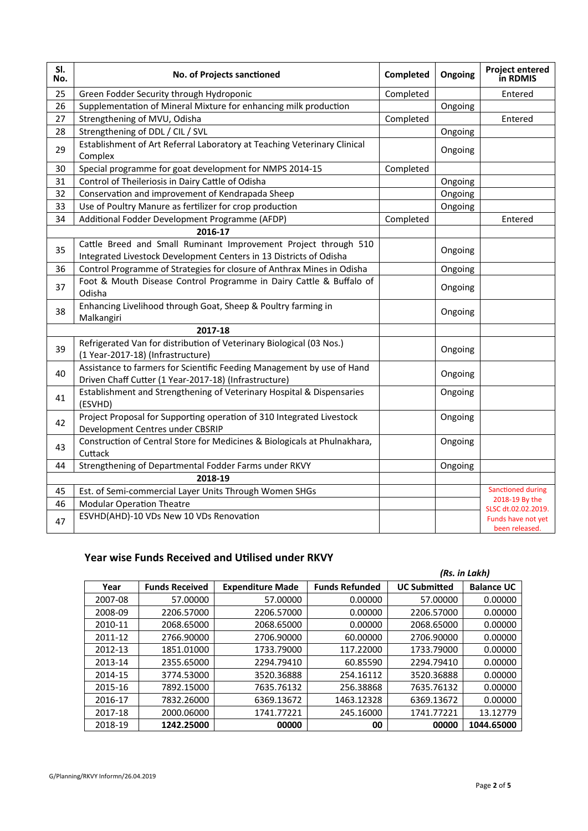| SI.<br>No. | No. of Projects sanctioned                                                                                                            | Completed | Ongoing | <b>Project entered</b><br>in RDMIS    |
|------------|---------------------------------------------------------------------------------------------------------------------------------------|-----------|---------|---------------------------------------|
| 25         | Green Fodder Security through Hydroponic                                                                                              | Completed |         | Entered                               |
| 26         | Supplementation of Mineral Mixture for enhancing milk production                                                                      |           | Ongoing |                                       |
| 27         | Strengthening of MVU, Odisha                                                                                                          | Completed |         | Entered                               |
| 28         | Strengthening of DDL / CIL / SVL                                                                                                      |           | Ongoing |                                       |
| 29         | Establishment of Art Referral Laboratory at Teaching Veterinary Clinical<br>Complex                                                   |           | Ongoing |                                       |
| 30         | Special programme for goat development for NMPS 2014-15                                                                               | Completed |         |                                       |
| 31         | Control of Theileriosis in Dairy Cattle of Odisha                                                                                     |           | Ongoing |                                       |
| 32         | Conservation and improvement of Kendrapada Sheep                                                                                      |           | Ongoing |                                       |
| 33         | Use of Poultry Manure as fertilizer for crop production                                                                               |           | Ongoing |                                       |
| 34         | Additional Fodder Development Programme (AFDP)                                                                                        | Completed |         | Entered                               |
|            | 2016-17                                                                                                                               |           |         |                                       |
| 35         | Cattle Breed and Small Ruminant Improvement Project through 510<br>Integrated Livestock Development Centers in 13 Districts of Odisha |           | Ongoing |                                       |
| 36         | Control Programme of Strategies for closure of Anthrax Mines in Odisha                                                                |           | Ongoing |                                       |
| 37         | Foot & Mouth Disease Control Programme in Dairy Cattle & Buffalo of<br>Odisha                                                         |           | Ongoing |                                       |
| 38         | Enhancing Livelihood through Goat, Sheep & Poultry farming in<br>Malkangiri                                                           |           | Ongoing |                                       |
|            | 2017-18                                                                                                                               |           |         |                                       |
| 39         | Refrigerated Van for distribution of Veterinary Biological (03 Nos.)<br>(1 Year-2017-18) (Infrastructure)                             |           | Ongoing |                                       |
| 40         | Assistance to farmers for Scientific Feeding Management by use of Hand<br>Driven Chaff Cutter (1 Year-2017-18) (Infrastructure)       |           | Ongoing |                                       |
| 41         | Establishment and Strengthening of Veterinary Hospital & Dispensaries<br>(ESVHD)                                                      |           | Ongoing |                                       |
| 42         | Project Proposal for Supporting operation of 310 Integrated Livestock<br>Development Centres under CBSRIP                             |           | Ongoing |                                       |
| 43         | Construction of Central Store for Medicines & Biologicals at Phulnakhara,<br>Cuttack                                                  |           | Ongoing |                                       |
| 44         | Strengthening of Departmental Fodder Farms under RKVY                                                                                 |           | Ongoing |                                       |
|            | 2018-19                                                                                                                               |           |         |                                       |
| 45         | Est. of Semi-commercial Layer Units Through Women SHGs                                                                                |           |         | Sanctioned during                     |
| 46         | <b>Modular Operation Theatre</b>                                                                                                      |           |         | 2018-19 By the<br>SLSC dt.02.02.2019. |
| 47         | ESVHD(AHD)-10 VDs New 10 VDs Renovation                                                                                               |           |         | Funds have not yet<br>been released.  |

## Year wise Funds Received and Utilised under RKVY

|         |                       |                         |                       | (Rs. in Lakh)       |                   |  |  |  |
|---------|-----------------------|-------------------------|-----------------------|---------------------|-------------------|--|--|--|
| Year    | <b>Funds Received</b> | <b>Expenditure Made</b> | <b>Funds Refunded</b> | <b>UC Submitted</b> | <b>Balance UC</b> |  |  |  |
| 2007-08 | 57.00000              | 57.00000                | 0.00000               | 57.00000            | 0.00000           |  |  |  |
| 2008-09 | 2206.57000            | 2206.57000              | 0.00000               | 2206.57000          | 0.00000           |  |  |  |
| 2010-11 | 2068.65000            | 2068.65000              | 0.00000               | 2068.65000          | 0.00000           |  |  |  |
| 2011-12 | 2766.90000            | 2706.90000              | 60.00000              | 2706.90000          | 0.00000           |  |  |  |
| 2012-13 | 1851.01000            | 1733.79000              | 117.22000             | 1733.79000          | 0.00000           |  |  |  |
| 2013-14 | 2355.65000            | 2294.79410              | 60.85590              | 2294.79410          | 0.00000           |  |  |  |
| 2014-15 | 3774.53000            | 3520.36888              | 254.16112             | 3520.36888          | 0.00000           |  |  |  |
| 2015-16 | 7892.15000            | 7635.76132              | 256.38868             | 7635.76132          | 0.00000           |  |  |  |
| 2016-17 | 7832.26000            | 6369.13672              | 1463.12328            | 6369.13672          | 0.00000           |  |  |  |
| 2017-18 | 2000.06000            | 1741.77221              | 245.16000             | 1741.77221          | 13.12779          |  |  |  |
| 2018-19 | 1242.25000            | 00000                   | 00                    | 00000               | 1044.65000        |  |  |  |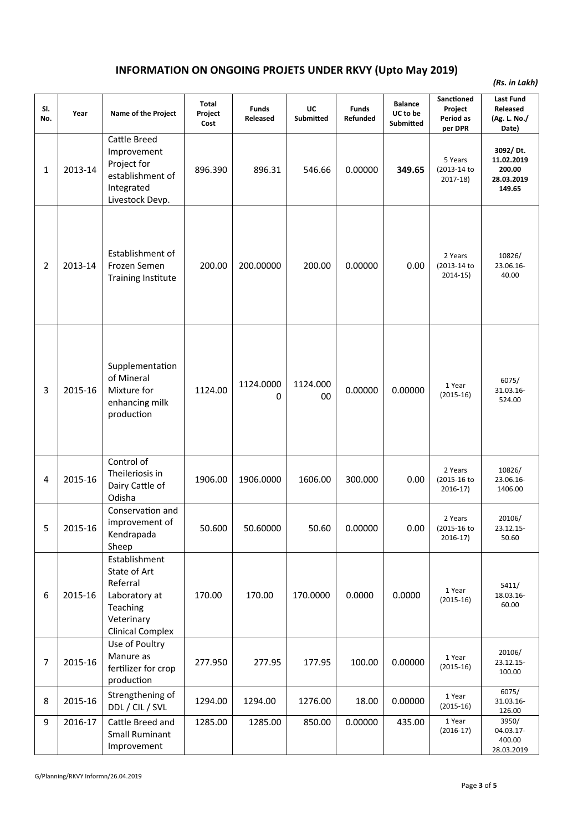## **INFORMATION ON ONGOING PROJETS UNDER RKVY (Upto May 2019)**

*(Rs. in Lakh)*

| SI.<br>No.     | Year    | Name of the Project                                                                                             | Total<br>Project<br>Cost | <b>Funds</b><br>Released | UC<br><b>Submitted</b> | <b>Funds</b><br>Refunded | <b>Balance</b><br>UC to be<br><b>Submitted</b> | Sanctioned<br>Project<br>Period as<br>per DPR | <b>Last Fund</b><br>Released<br>(Ag. L. No./<br>Date)    |
|----------------|---------|-----------------------------------------------------------------------------------------------------------------|--------------------------|--------------------------|------------------------|--------------------------|------------------------------------------------|-----------------------------------------------|----------------------------------------------------------|
| 1              | 2013-14 | Cattle Breed<br>Improvement<br>Project for<br>establishment of<br>Integrated<br>Livestock Devp.                 | 896.390                  | 896.31                   | 546.66                 | 0.00000                  | 349.65                                         | 5 Years<br>(2013-14 to<br>$2017-18$           | 3092/Dt.<br>11.02.2019<br>200.00<br>28.03.2019<br>149.65 |
| 2              | 2013-14 | Establishment of<br>Frozen Semen<br><b>Training Institute</b>                                                   | 200.00                   | 200.00000                | 200.00                 | 0.00000                  | 0.00                                           | 2 Years<br>(2013-14 to<br>$2014-15)$          | 10826/<br>23.06.16-<br>40.00                             |
| 3              | 2015-16 | Supplementation<br>of Mineral<br>Mixture for<br>enhancing milk<br>production                                    | 1124.00                  | 1124.0000<br>0           | 1124.000<br>00         | 0.00000                  | 0.00000                                        | 1 Year<br>$(2015-16)$                         | 6075/<br>31.03.16-<br>524.00                             |
| 4              | 2015-16 | Control of<br>Theileriosis in<br>Dairy Cattle of<br>Odisha                                                      | 1906.00                  | 1906.0000                | 1606.00                | 300.000                  | 0.00                                           | 2 Years<br>(2015-16 to<br>2016-17)            | 10826/<br>23.06.16-<br>1406.00                           |
| 5              | 2015-16 | Conservation and<br>improvement of<br>Kendrapada<br>Sheep                                                       | 50.600                   | 50.60000                 | 50.60                  | 0.00000                  | 0.00                                           | 2 Years<br>(2015-16 to<br>$2016-17)$          | 20106/<br>23.12.15-<br>50.60                             |
| 6              | 2015-16 | Establishment<br>State of Art<br>Referral<br>Laboratory at<br>Teaching<br>Veterinary<br><b>Clinical Complex</b> | 170.00                   | 170.00                   | 170.0000               | 0.0000                   | 0.0000                                         | 1 Year<br>$(2015-16)$                         | 5411/<br>18.03.16-<br>60.00                              |
| $\overline{7}$ | 2015-16 | Use of Poultry<br>Manure as<br>fertilizer for crop<br>production                                                | 277.950                  | 277.95                   | 177.95                 | 100.00                   | 0.00000                                        | 1 Year<br>$(2015-16)$                         | 20106/<br>23.12.15-<br>100.00                            |
| 8              | 2015-16 | Strengthening of<br>DDL / CIL / SVL                                                                             | 1294.00                  | 1294.00                  | 1276.00                | 18.00                    | 0.00000                                        | 1 Year<br>$(2015-16)$                         | 6075/<br>31.03.16-<br>126.00                             |
| 9              | 2016-17 | Cattle Breed and<br><b>Small Ruminant</b><br>Improvement                                                        | 1285.00                  | 1285.00                  | 850.00                 | 0.00000                  | 435.00                                         | 1 Year<br>$(2016-17)$                         | 3950/<br>04.03.17-<br>400.00<br>28.03.2019               |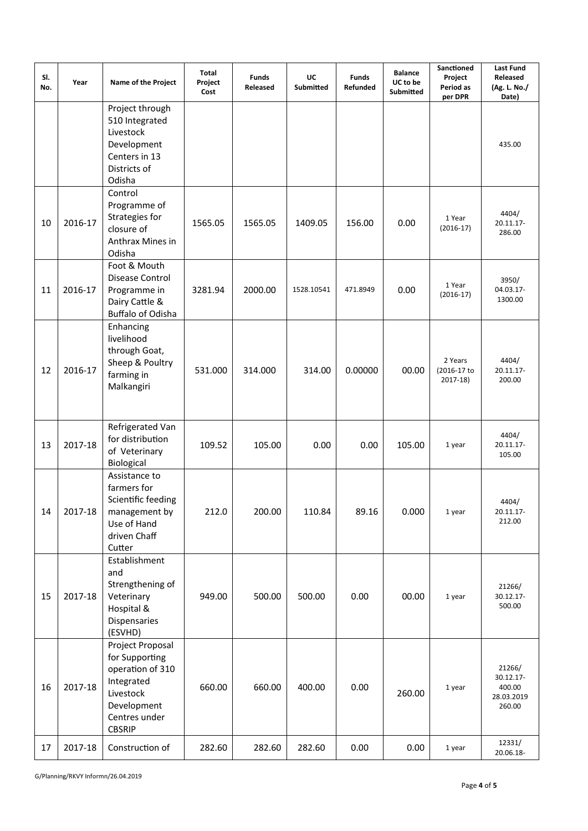| SI.<br>No. | Year    | Name of the Project                                                                                                                | Total<br>Project<br>Cost | <b>Funds</b><br>Released | UC<br>Submitted | <b>Funds</b><br><b>Refunded</b> | <b>Balance</b><br>UC to be<br>Submitted | Sanctioned<br>Project<br>Period as<br>per DPR | Last Fund<br>Released<br>(Ag. L. No./<br>Date)                  |
|------------|---------|------------------------------------------------------------------------------------------------------------------------------------|--------------------------|--------------------------|-----------------|---------------------------------|-----------------------------------------|-----------------------------------------------|-----------------------------------------------------------------|
|            |         | Project through<br>510 Integrated<br>Livestock<br>Development<br>Centers in 13<br>Districts of<br>Odisha                           |                          |                          |                 |                                 |                                         |                                               | 435.00                                                          |
| 10         | 2016-17 | Control<br>Programme of<br>Strategies for<br>closure of<br>Anthrax Mines in<br>Odisha                                              | 1565.05                  | 1565.05                  | 1409.05         | 156.00                          | 0.00                                    | 1 Year<br>$(2016-17)$                         | 4404/<br>20.11.17-<br>286.00                                    |
| 11         | 2016-17 | Foot & Mouth<br>Disease Control<br>Programme in<br>Dairy Cattle &<br>Buffalo of Odisha                                             | 3281.94                  | 2000.00                  | 1528.10541      | 471.8949                        | 0.00                                    | 1 Year<br>$(2016-17)$                         | 3950/<br>04.03.17-<br>1300.00                                   |
| 12         | 2016-17 | Enhancing<br>livelihood<br>through Goat,<br>Sheep & Poultry<br>farming in<br>Malkangiri                                            | 531.000                  | 314.000                  | 314.00          | 0.00000                         | 00.00                                   | 2 Years<br>(2016-17 to<br>$2017-18$           | 4404/<br>20.11.17-<br>200.00                                    |
| 13         | 2017-18 | Refrigerated Van<br>for distribution<br>of Veterinary<br>Biological                                                                | 109.52                   | 105.00                   | 0.00            | 0.00                            | 105.00                                  | 1 year                                        | 4404/<br>20.11.17-<br>105.00                                    |
| 14         | 2017-18 | Assistance to<br>farmers for<br>Scientific feeding<br>management by<br>Use of Hand<br>driven Chaff<br>Cutter                       | 212.0                    | 200.00                   | 110.84          | 89.16                           | 0.000                                   | 1 year                                        | 4404/<br>20.11.17-<br>212.00                                    |
| 15         | 2017-18 | Establishment<br>and<br>Strengthening of<br>Veterinary<br>Hospital &<br>Dispensaries<br>(ESVHD)                                    | 949.00                   | 500.00                   | 500.00          | 0.00                            | 00.00                                   | 1 year                                        | 21266/<br>30.12.17-<br>500.00                                   |
| 16         | 2017-18 | Project Proposal<br>for Supporting<br>operation of 310<br>Integrated<br>Livestock<br>Development<br>Centres under<br><b>CBSRIP</b> | 660.00                   | 660.00                   | 400.00          | 0.00                            | 260.00                                  | 1 year                                        | 21266/<br>30.12.17-<br>400.00<br>28.03.2019<br>260.00<br>12331/ |
| 17         | 2017-18 | Construction of                                                                                                                    | 282.60                   | 282.60                   | 282.60          | 0.00                            | 0.00                                    | 1 year                                        | 20.06.18-                                                       |